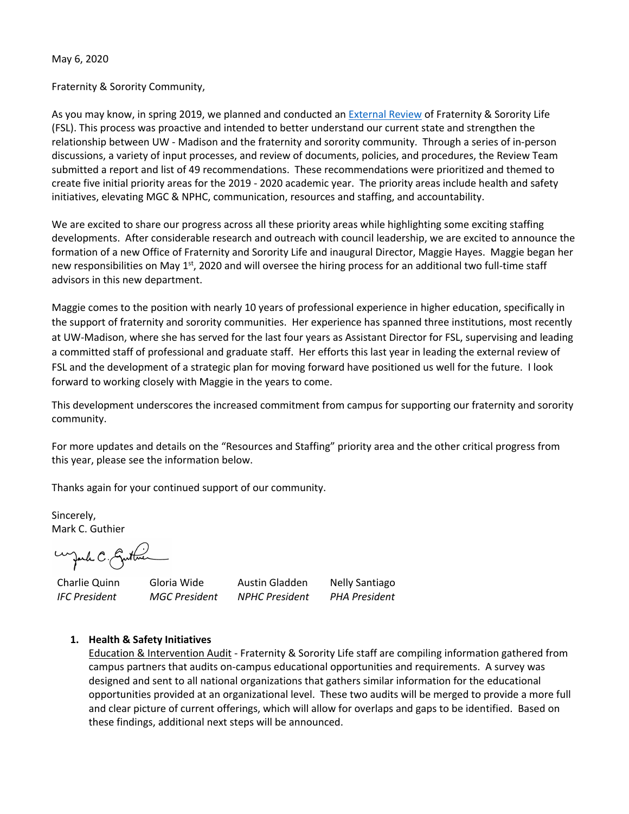May 6, 2020

Fraternity & Sorority Community,

As you may know, in spring 2019, we planned and conducted an External Review of Fraternity & Sorority Life (FSL). This process was proactive and intended to better understand our current state and strengthen the relationship between UW - Madison and the fraternity and sorority community. Through a series of in-person discussions, a variety of input processes, and review of documents, policies, and procedures, the Review Team submitted a report and list of 49 recommendations. These recommendations were prioritized and themed to create five initial priority areas for the 2019 - 2020 academic year. The priority areas include health and safety initiatives, elevating MGC & NPHC, communication, resources and staffing, and accountability.

We are excited to share our progress across all these priority areas while highlighting some exciting staffing developments. After considerable research and outreach with council leadership, we are excited to announce the formation of a new Office of Fraternity and Sorority Life and inaugural Director, Maggie Hayes. Maggie began her new responsibilities on May 1<sup>st</sup>, 2020 and will oversee the hiring process for an additional two full-time staff advisors in this new department.

Maggie comes to the position with nearly 10 years of professional experience in higher education, specifically in the support of fraternity and sorority communities. Her experience has spanned three institutions, most recently at UW-Madison, where she has served for the last four years as Assistant Director for FSL, supervising and leading a committed staff of professional and graduate staff. Her efforts this last year in leading the external review of FSL and the development of a strategic plan for moving forward have positioned us well for the future. I look forward to working closely with Maggie in the years to come.

This development underscores the increased commitment from campus for supporting our fraternity and sorority community.

For more updates and details on the "Resources and Staffing" priority area and the other critical progress from this year, please see the information below.

Thanks again for your continued support of our community.

Sincerely, Mark C. Guthier

wyard C. Guttin

Charlie Quinn Gloria Wide Austin Gladden Nelly Santiago *IFC President MGC President NPHC President PHA President* 

# **1. Health & Safety Initiatives**

Education & Intervention Audit - Fraternity & Sorority Life staff are compiling information gathered from campus partners that audits on-campus educational opportunities and requirements. A survey was designed and sent to all national organizations that gathers similar information for the educational opportunities provided at an organizational level. These two audits will be merged to provide a more full and clear picture of current offerings, which will allow for overlaps and gaps to be identified. Based on these findings, additional next steps will be announced.